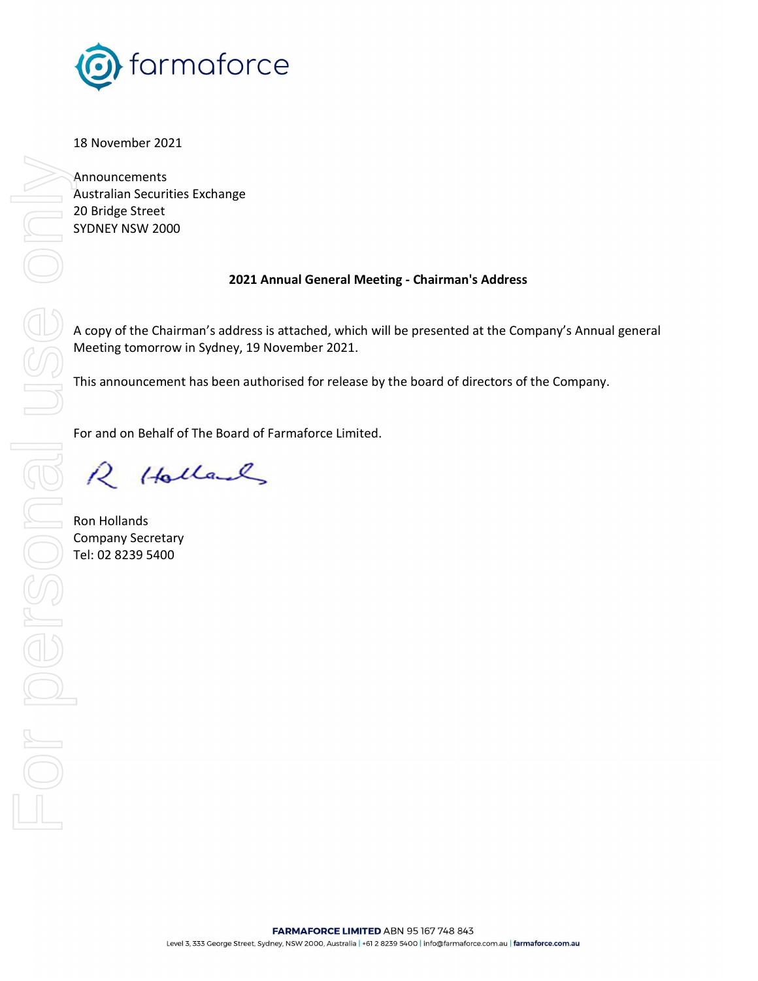

18 November 2021

Announcements Australian Securities Exchange 20 Bridge Street SYDNEY NSW 2000

## 2021 Annual General Meeting - Chairman's Address

A copy of the Chairman's address is attached, which will be presented at the Company's Annual general Meeting tomorrow in Sydney, 19 November 2021.

This announcement has been authorised for release by the board of directors of the Company.

For and on Behalf of The Board of Farmaforce Limited.

R Holland

Ron Hollands Company Secretary Tel: 02 8239 5400